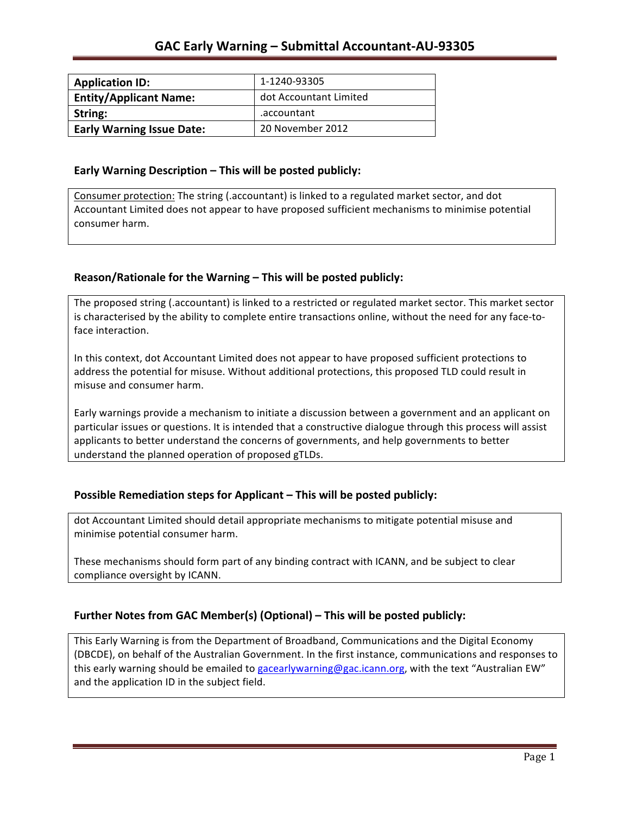| <b>Application ID:</b>           | 1-1240-93305           |
|----------------------------------|------------------------|
| <b>Entity/Applicant Name:</b>    | dot Accountant Limited |
| String:                          | .accountant            |
| <b>Early Warning Issue Date:</b> | 20 November 2012       |

### **Early Warning Description – This will be posted publicly:**

Consumer protection: The string (.accountant) is linked to a regulated market sector, and dot Accountant Limited does not appear to have proposed sufficient mechanisms to minimise potential consumer harm.

## Reason/Rationale for the Warning - This will be posted publicly:

The proposed string (.accountant) is linked to a restricted or regulated market sector. This market sector is characterised by the ability to complete entire transactions online, without the need for any face-toface interaction.

In this context, dot Accountant Limited does not appear to have proposed sufficient protections to address the potential for misuse. Without additional protections, this proposed TLD could result in misuse and consumer harm.

Early warnings provide a mechanism to initiate a discussion between a government and an applicant on particular issues or questions. It is intended that a constructive dialogue through this process will assist applicants to better understand the concerns of governments, and help governments to better understand the planned operation of proposed gTLDs.

## **Possible Remediation steps for Applicant – This will be posted publicly:**

dot Accountant Limited should detail appropriate mechanisms to mitigate potential misuse and minimise potential consumer harm.

These mechanisms should form part of any binding contract with ICANN, and be subject to clear compliance oversight by ICANN.

## Further Notes from GAC Member(s) (Optional) – This will be posted publicly:

This Early Warning is from the Department of Broadband, Communications and the Digital Economy (DBCDE), on behalf of the Australian Government. In the first instance, communications and responses to this early warning should be emailed to gacearlywarning@gac.icann.org, with the text "Australian EW" and the application ID in the subject field.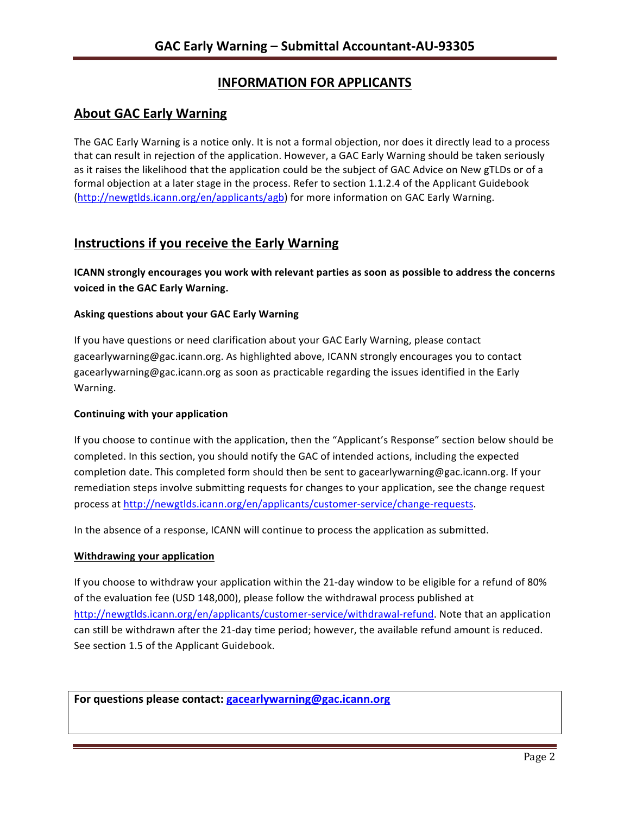# **INFORMATION FOR APPLICANTS**

## **About GAC Early Warning**

The GAC Early Warning is a notice only. It is not a formal objection, nor does it directly lead to a process that can result in rejection of the application. However, a GAC Early Warning should be taken seriously as it raises the likelihood that the application could be the subject of GAC Advice on New gTLDs or of a formal objection at a later stage in the process. Refer to section 1.1.2.4 of the Applicant Guidebook (http://newgtlds.icann.org/en/applicants/agb) for more information on GAC Early Warning.

## **Instructions if you receive the Early Warning**

**ICANN** strongly encourages you work with relevant parties as soon as possible to address the concerns **voiced in the GAC Early Warning.** 

### **Asking questions about your GAC Early Warning**

If you have questions or need clarification about your GAC Early Warning, please contact gacearlywarning@gac.icann.org. As highlighted above, ICANN strongly encourages you to contact gacearlywarning@gac.icann.org as soon as practicable regarding the issues identified in the Early Warning. 

### **Continuing with your application**

If you choose to continue with the application, then the "Applicant's Response" section below should be completed. In this section, you should notify the GAC of intended actions, including the expected completion date. This completed form should then be sent to gacearlywarning@gac.icann.org. If your remediation steps involve submitting requests for changes to your application, see the change request process at http://newgtlds.icann.org/en/applicants/customer-service/change-requests.

In the absence of a response, ICANN will continue to process the application as submitted.

### **Withdrawing your application**

If you choose to withdraw your application within the 21-day window to be eligible for a refund of 80% of the evaluation fee (USD 148,000), please follow the withdrawal process published at http://newgtlds.icann.org/en/applicants/customer-service/withdrawal-refund. Note that an application can still be withdrawn after the 21-day time period; however, the available refund amount is reduced. See section 1.5 of the Applicant Guidebook.

For questions please contact: gacearlywarning@gac.icann.org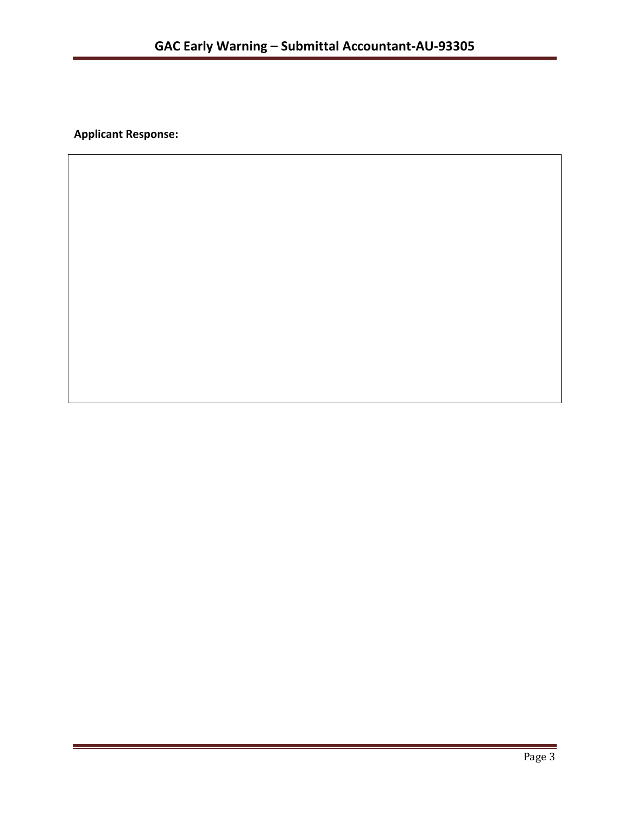**Applicant Response:**